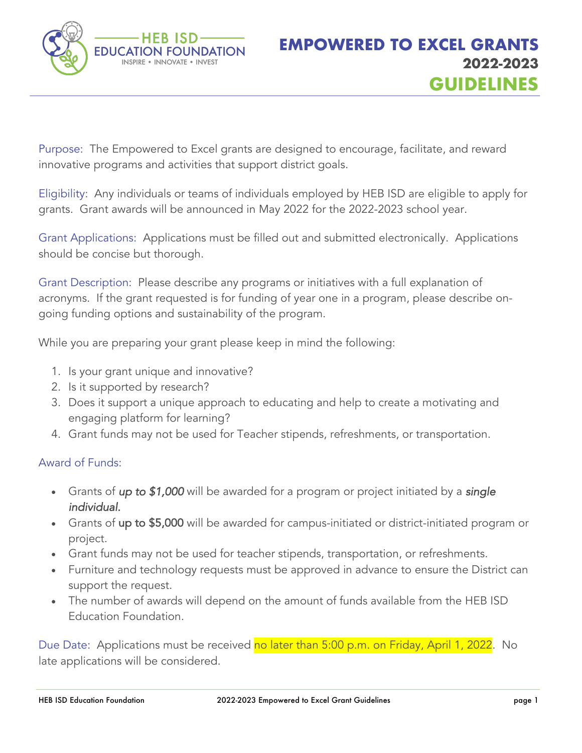

Purpose: The Empowered to Excel grants are designed to encourage, facilitate, and reward innovative programs and activities that support district goals.

Eligibility: Any individuals or teams of individuals employed by HEB ISD are eligible to apply for grants. Grant awards will be announced in May 2022 for the 2022-2023 school year.

Grant Applications: Applications must be filled out and submitted electronically. Applications should be concise but thorough.

Grant Description: Please describe any programs or initiatives with a full explanation of acronyms. If the grant requested is for funding of year one in a program, please describe ongoing funding options and sustainability of the program.

While you are preparing your grant please keep in mind the following:

- 1. Is your grant unique and innovative?
- 2. Is it supported by research?
- 3. Does it support a unique approach to educating and help to create a motivating and engaging platform for learning?
- 4. Grant funds may not be used for Teacher stipends, refreshments, or transportation.

## Award of Funds:

- Grants of *up to \$1,000* will be awarded for a program or project initiated by a *single individual.*
- Grants of up to \$5,000 will be awarded for campus-initiated or district-initiated program or project.
- Grant funds may not be used for teacher stipends, transportation, or refreshments.
- Furniture and technology requests must be approved in advance to ensure the District can support the request.
- The number of awards will depend on the amount of funds available from the HEB ISD Education Foundation.

Due Date: Applications must be received <mark>no later than 5:00 p.m. on Friday, April 1, 2022</mark>. No late applications will be considered.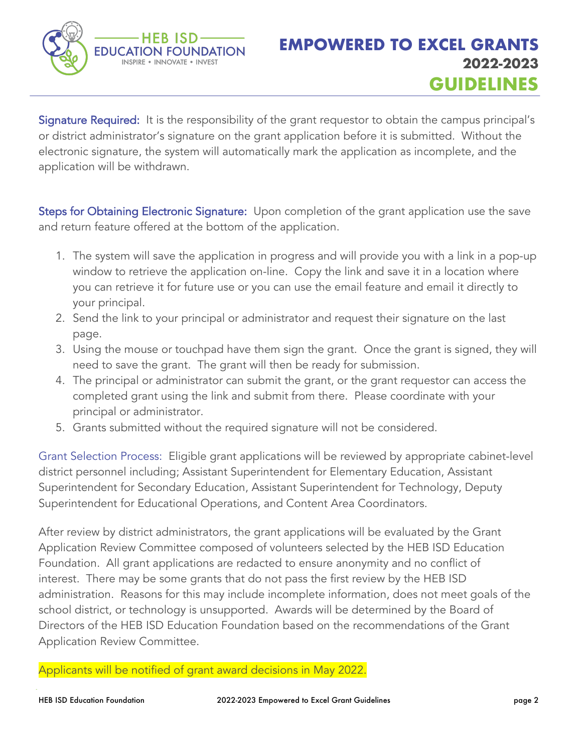

Signature Required: It is the responsibility of the grant requestor to obtain the campus principal's or district administrator's signature on the grant application before it is submitted. Without the electronic signature, the system will automatically mark the application as incomplete, and the application will be withdrawn.

Steps for Obtaining Electronic Signature: Upon completion of the grant application use the save and return feature offered at the bottom of the application.

- 1. The system will save the application in progress and will provide you with a link in a pop-up window to retrieve the application on-line. Copy the link and save it in a location where you can retrieve it for future use or you can use the email feature and email it directly to your principal.
- 2. Send the link to your principal or administrator and request their signature on the last page.
- 3. Using the mouse or touchpad have them sign the grant. Once the grant is signed, they will need to save the grant. The grant will then be ready for submission.
- 4. The principal or administrator can submit the grant, or the grant requestor can access the completed grant using the link and submit from there. Please coordinate with your principal or administrator.
- 5. Grants submitted without the required signature will not be considered.

Grant Selection Process: Eligible grant applications will be reviewed by appropriate cabinet-level district personnel including; Assistant Superintendent for Elementary Education, Assistant Superintendent for Secondary Education, Assistant Superintendent for Technology, Deputy Superintendent for Educational Operations, and Content Area Coordinators.

After review by district administrators, the grant applications will be evaluated by the Grant Application Review Committee composed of volunteers selected by the HEB ISD Education Foundation. All grant applications are redacted to ensure anonymity and no conflict of interest. There may be some grants that do not pass the first review by the HEB ISD administration. Reasons for this may include incomplete information, does not meet goals of the school district, or technology is unsupported. Awards will be determined by the Board of Directors of the HEB ISD Education Foundation based on the recommendations of the Grant Application Review Committee.

Applicants will be notified of grant award decisions in May 2022.